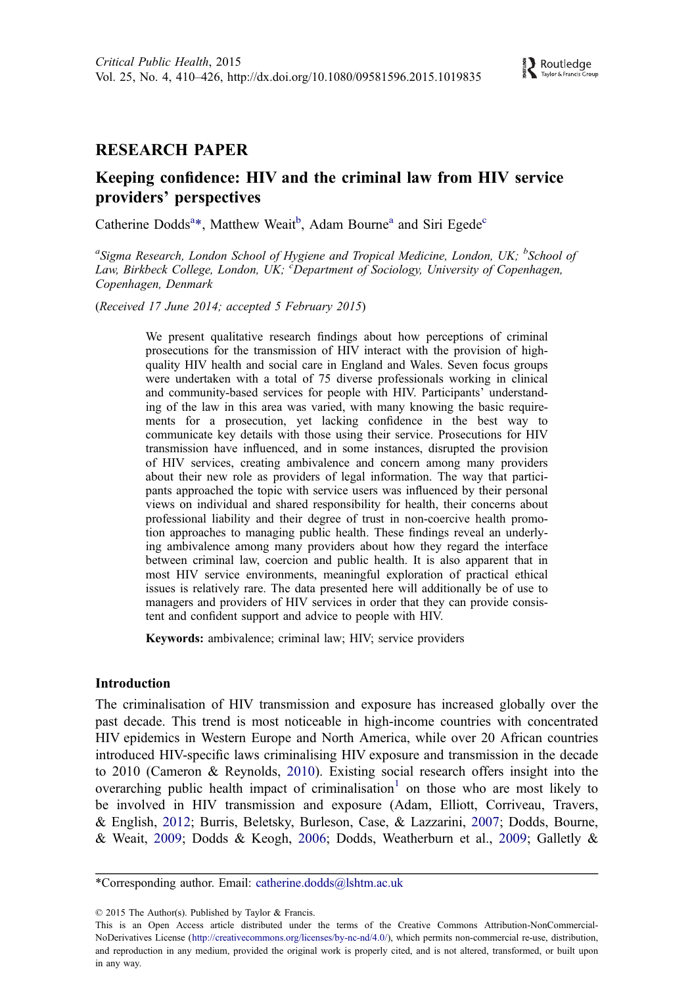## RESEARCH PAPER

# Keeping confidence: HIV and the criminal law from HIV service providers' perspectives

Catherine Dodds<sup>a\*</sup>, Matthew Weait<sup>b</sup>, Adam Bourne<sup>a</sup> and Siri Egede<sup>c</sup>

<sup>a</sup>Sigma Research, London School of Hygiene and Tropical Medicine, London, UK; <sup>b</sup>School of Law, Birkbeck College, London, UK;  $\stackrel{\circ}{C}$  Department of Sociology, University of Copenhagen, Copenhagen, Denmark

(Received 17 June 2014; accepted 5 February 2015)

We present qualitative research findings about how perceptions of criminal prosecutions for the transmission of HIV interact with the provision of highquality HIV health and social care in England and Wales. Seven focus groups were undertaken with a total of 75 diverse professionals working in clinical and community-based services for people with HIV. Participants' understanding of the law in this area was varied, with many knowing the basic requirements for a prosecution, yet lacking confidence in the best way to communicate key details with those using their service. Prosecutions for HIV transmission have influenced, and in some instances, disrupted the provision of HIV services, creating ambivalence and concern among many providers about their new role as providers of legal information. The way that participants approached the topic with service users was influenced by their personal views on individual and shared responsibility for health, their concerns about professional liability and their degree of trust in non-coercive health promotion approaches to managing public health. These findings reveal an underlying ambivalence among many providers about how they regard the interface between criminal law, coercion and public health. It is also apparent that in most HIV service environments, meaningful exploration of practical ethical issues is relatively rare. The data presented here will additionally be of use to managers and providers of HIV services in order that they can provide consistent and confident support and advice to people with HIV.

Keywords: ambivalence; criminal law; HIV; service providers

## Introduction

The criminalisation of HIV transmission and exposure has increased globally over the past decade. This trend is most noticeable in high-income countries with concentrated HIV epidemics in Western Europe and North America, while over 20 African countries introduced HIV-specific laws criminalising HIV exposure and transmission in the decade to 2010 (Cameron & Reynolds, [2010\)](#page-14-0). Existing social research offers insight into the overarching public health impact of criminalisation<sup>[1](#page-13-0)</sup> on those who are most likely to be involved in HIV transmission and exposure (Adam, Elliott, Corriveau, Travers, & English, [2012](#page-13-0); Burris, Beletsky, Burleson, Case, & Lazzarini, [2007](#page-14-0); Dodds, Bourne, & Weait, [2009;](#page-14-0) Dodds & Keogh, [2006;](#page-14-0) Dodds, Weatherburn et al., [2009;](#page-14-0) Galletly &

© 2015 The Author(s). Published by Taylor & Francis.

This is an Open Access article distributed under the terms of the Creative Commons Attribution-NonCommercial-NoDerivatives License (<http://creativecommons.org/licenses/by-nc-nd/4.0/>), which permits non-commercial re-use, distribution, and reproduction in any medium, provided the original work is properly cited, and is not altered, transformed, or built upon in any way.

<sup>\*</sup>Corresponding author. Email: [catherine.dodds@lshtm.ac.uk](mailto:catherine.dodds@lshtm.ac.uk)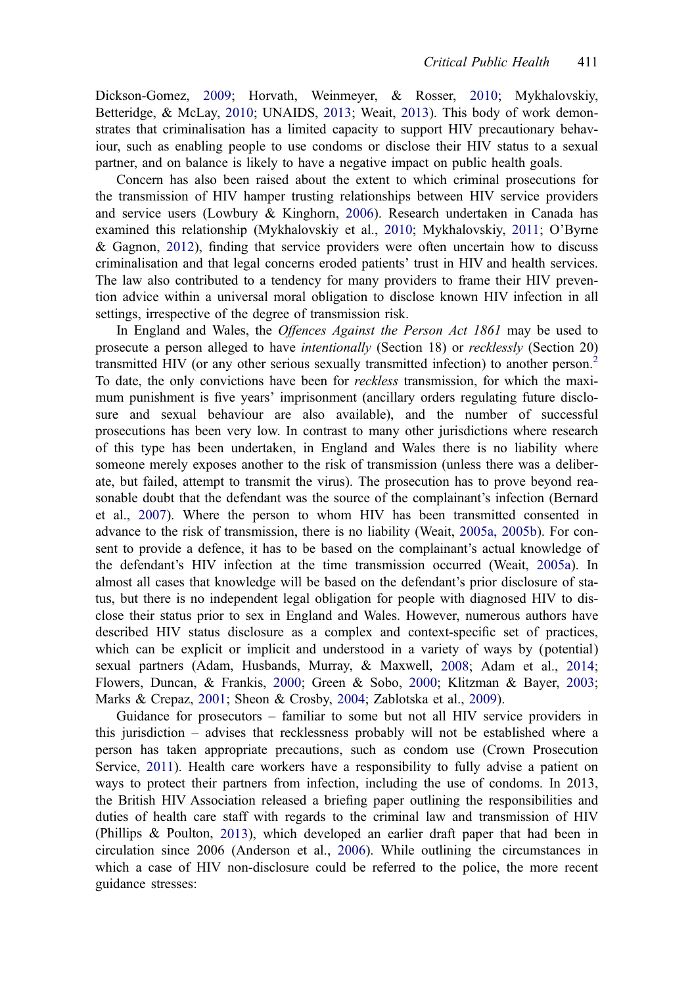Dickson-Gomez, [2009;](#page-15-0) Horvath, Weinmeyer, & Rosser, [2010](#page-15-0); Mykhalovskiy, Betteridge, & McLay, [2010;](#page-15-0) UNAIDS, [2013;](#page-16-0) Weait, [2013](#page-16-0)). This body of work demonstrates that criminalisation has a limited capacity to support HIV precautionary behaviour, such as enabling people to use condoms or disclose their HIV status to a sexual partner, and on balance is likely to have a negative impact on public health goals.

Concern has also been raised about the extent to which criminal prosecutions for the transmission of HIV hamper trusting relationships between HIV service providers and service users (Lowbury & Kinghorn, [2006\)](#page-15-0). Research undertaken in Canada has examined this relationship (Mykhalovskiy et al., [2010](#page-15-0); Mykhalovskiy, [2011;](#page-15-0) O'Byrne & Gagnon, [2012\)](#page-15-0), finding that service providers were often uncertain how to discuss criminalisation and that legal concerns eroded patients' trust in HIV and health services. The law also contributed to a tendency for many providers to frame their HIV prevention advice within a universal moral obligation to disclose known HIV infection in all settings, irrespective of the degree of transmission risk.

In England and Wales, the *Offences Against the Person Act 1861* may be used to prosecute a person alleged to have intentionally (Section 18) or recklessly (Section 20) transmitted HIV (or any other serious sexually transmitted infection) to another person.[2](#page-13-0) To date, the only convictions have been for reckless transmission, for which the maximum punishment is five years' imprisonment (ancillary orders regulating future disclosure and sexual behaviour are also available), and the number of successful prosecutions has been very low. In contrast to many other jurisdictions where research of this type has been undertaken, in England and Wales there is no liability where someone merely exposes another to the risk of transmission (unless there was a deliberate, but failed, attempt to transmit the virus). The prosecution has to prove beyond reasonable doubt that the defendant was the source of the complainant's infection (Bernard et al., [2007\)](#page-14-0). Where the person to whom HIV has been transmitted consented in advance to the risk of transmission, there is no liability (Weait, [2005a, 2005b\)](#page-16-0). For consent to provide a defence, it has to be based on the complainant's actual knowledge of the defendant's HIV infection at the time transmission occurred (Weait, [2005a](#page-16-0)). In almost all cases that knowledge will be based on the defendant's prior disclosure of status, but there is no independent legal obligation for people with diagnosed HIV to disclose their status prior to sex in England and Wales. However, numerous authors have described HIV status disclosure as a complex and context-specific set of practices, which can be explicit or implicit and understood in a variety of ways by (potential) sexual partners (Adam, Husbands, Murray, & Maxwell, [2008](#page-14-0); Adam et al., [2014;](#page-13-0) Flowers, Duncan, & Frankis, [2000;](#page-14-0) Green & Sobo, [2000;](#page-15-0) Klitzman & Bayer, [2003](#page-15-0); Marks & Crepaz, [2001](#page-15-0); Sheon & Crosby, [2004](#page-15-0); Zablotska et al., [2009\)](#page-16-0).

Guidance for prosecutors – familiar to some but not all HIV service providers in this jurisdiction – advises that recklessness probably will not be established where a person has taken appropriate precautions, such as condom use (Crown Prosecution Service, [2011](#page-14-0)). Health care workers have a responsibility to fully advise a patient on ways to protect their partners from infection, including the use of condoms. In 2013, the British HIV Association released a briefing paper outlining the responsibilities and duties of health care staff with regards to the criminal law and transmission of HIV (Phillips & Poulton, [2013](#page-15-0)), which developed an earlier draft paper that had been in circulation since 2006 (Anderson et al., [2006\)](#page-14-0). While outlining the circumstances in which a case of HIV non-disclosure could be referred to the police, the more recent guidance stresses: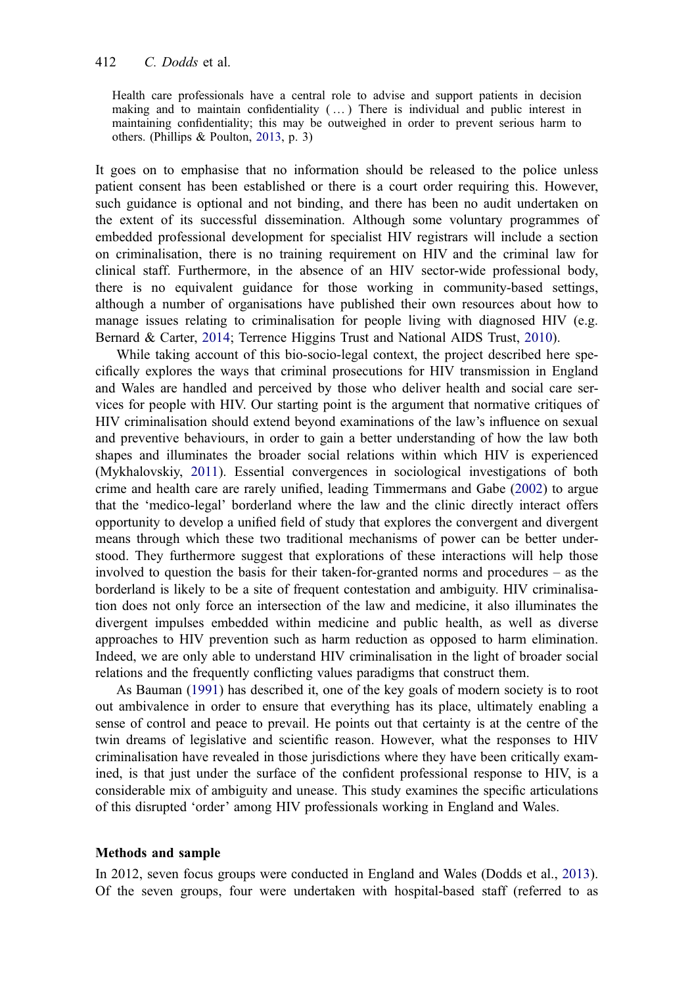Health care professionals have a central role to advise and support patients in decision making and to maintain confidentiality  $(\ldots)$  There is individual and public interest in maintaining confidentiality; this may be outweighed in order to prevent serious harm to others. (Phillips & Poulton, [2013,](#page-15-0) p. 3)

It goes on to emphasise that no information should be released to the police unless patient consent has been established or there is a court order requiring this. However, such guidance is optional and not binding, and there has been no audit undertaken on the extent of its successful dissemination. Although some voluntary programmes of embedded professional development for specialist HIV registrars will include a section on criminalisation, there is no training requirement on HIV and the criminal law for clinical staff. Furthermore, in the absence of an HIV sector-wide professional body, there is no equivalent guidance for those working in community-based settings, although a number of organisations have published their own resources about how to manage issues relating to criminalisation for people living with diagnosed HIV (e.g. Bernard & Carter, [2014](#page-14-0); Terrence Higgins Trust and National AIDS Trust, [2010](#page-15-0)).

While taking account of this bio-socio-legal context, the project described here specifically explores the ways that criminal prosecutions for HIV transmission in England and Wales are handled and perceived by those who deliver health and social care services for people with HIV. Our starting point is the argument that normative critiques of HIV criminalisation should extend beyond examinations of the law's influence on sexual and preventive behaviours, in order to gain a better understanding of how the law both shapes and illuminates the broader social relations within which HIV is experienced (Mykhalovskiy, [2011\)](#page-15-0). Essential convergences in sociological investigations of both crime and health care are rarely unified, leading Timmermans and Gabe [\(2002](#page-16-0)) to argue that the 'medico-legal' borderland where the law and the clinic directly interact offers opportunity to develop a unified field of study that explores the convergent and divergent means through which these two traditional mechanisms of power can be better understood. They furthermore suggest that explorations of these interactions will help those involved to question the basis for their taken-for-granted norms and procedures – as the borderland is likely to be a site of frequent contestation and ambiguity. HIV criminalisation does not only force an intersection of the law and medicine, it also illuminates the divergent impulses embedded within medicine and public health, as well as diverse approaches to HIV prevention such as harm reduction as opposed to harm elimination. Indeed, we are only able to understand HIV criminalisation in the light of broader social relations and the frequently conflicting values paradigms that construct them.

As Bauman [\(1991](#page-14-0)) has described it, one of the key goals of modern society is to root out ambivalence in order to ensure that everything has its place, ultimately enabling a sense of control and peace to prevail. He points out that certainty is at the centre of the twin dreams of legislative and scientific reason. However, what the responses to HIV criminalisation have revealed in those jurisdictions where they have been critically examined, is that just under the surface of the confident professional response to HIV, is a considerable mix of ambiguity and unease. This study examines the specific articulations of this disrupted 'order' among HIV professionals working in England and Wales.

#### Methods and sample

In 2012, seven focus groups were conducted in England and Wales (Dodds et al., [2013\)](#page-14-0). Of the seven groups, four were undertaken with hospital-based staff (referred to as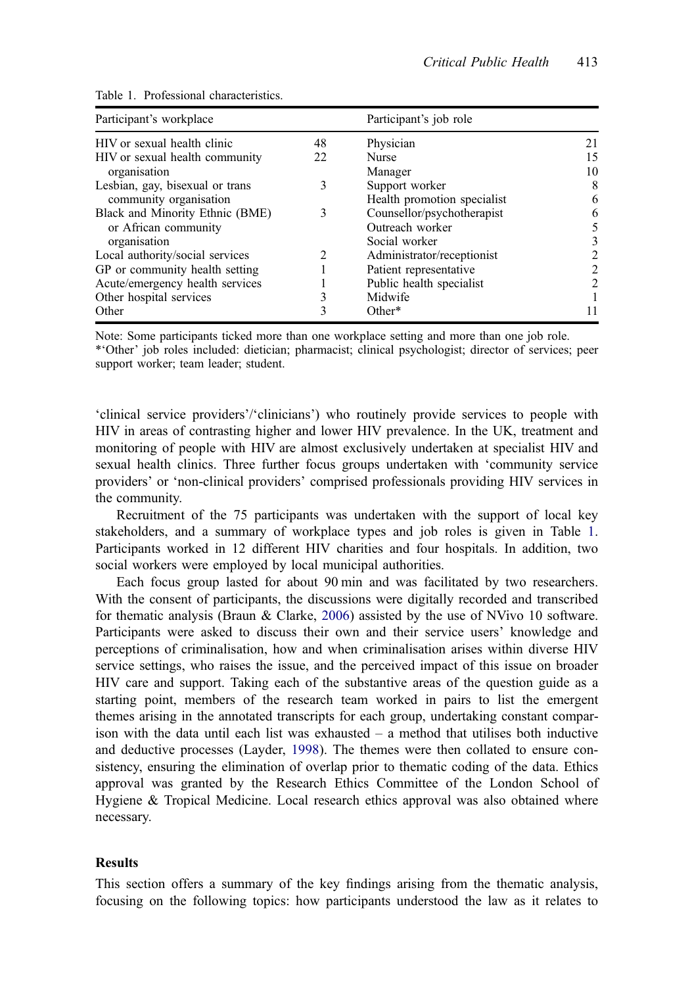| Participant's workplace         |    | Participant's job role      |    |
|---------------------------------|----|-----------------------------|----|
| HIV or sexual health clinic     | 48 | Physician                   | 21 |
| HIV or sexual health community  | 22 | <b>Nurse</b>                | 15 |
| organisation                    |    | Manager                     | 10 |
| Lesbian, gay, bisexual or trans | 3  | Support worker              | 8  |
| community organisation          |    | Health promotion specialist | 6  |
| Black and Minority Ethnic (BME) | 3  | Counsellor/psychotherapist  | 6  |
| or African community            |    | Outreach worker             |    |
| organisation                    |    | Social worker               | 3  |
| Local authority/social services |    | Administrator/receptionist  | 2  |
| GP or community health setting  |    | Patient representative      | 2  |
| Acute/emergency health services |    | Public health specialist    | 2  |
| Other hospital services         | 3  | Midwife                     |    |
| Other                           |    | $Other*$                    |    |

Table 1. Professional characteristics.

Note: Some participants ticked more than one workplace setting and more than one job role.

\*'Other' job roles included: dietician; pharmacist; clinical psychologist; director of services; peer support worker; team leader; student.

'clinical service providers'/'clinicians') who routinely provide services to people with HIV in areas of contrasting higher and lower HIV prevalence. In the UK, treatment and monitoring of people with HIV are almost exclusively undertaken at specialist HIV and sexual health clinics. Three further focus groups undertaken with 'community service providers' or 'non-clinical providers' comprised professionals providing HIV services in the community.

Recruitment of the 75 participants was undertaken with the support of local key stakeholders, and a summary of workplace types and job roles is given in Table 1. Participants worked in 12 different HIV charities and four hospitals. In addition, two social workers were employed by local municipal authorities.

Each focus group lasted for about 90 min and was facilitated by two researchers. With the consent of participants, the discussions were digitally recorded and transcribed for thematic analysis (Braun & Clarke, [2006](#page-14-0)) assisted by the use of NVivo 10 software. Participants were asked to discuss their own and their service users' knowledge and perceptions of criminalisation, how and when criminalisation arises within diverse HIV service settings, who raises the issue, and the perceived impact of this issue on broader HIV care and support. Taking each of the substantive areas of the question guide as a starting point, members of the research team worked in pairs to list the emergent themes arising in the annotated transcripts for each group, undertaking constant comparison with the data until each list was exhausted  $-$  a method that utilises both inductive and deductive processes (Layder, [1998\)](#page-15-0). The themes were then collated to ensure consistency, ensuring the elimination of overlap prior to thematic coding of the data. Ethics approval was granted by the Research Ethics Committee of the London School of Hygiene & Tropical Medicine. Local research ethics approval was also obtained where necessary.

## Results

This section offers a summary of the key findings arising from the thematic analysis, focusing on the following topics: how participants understood the law as it relates to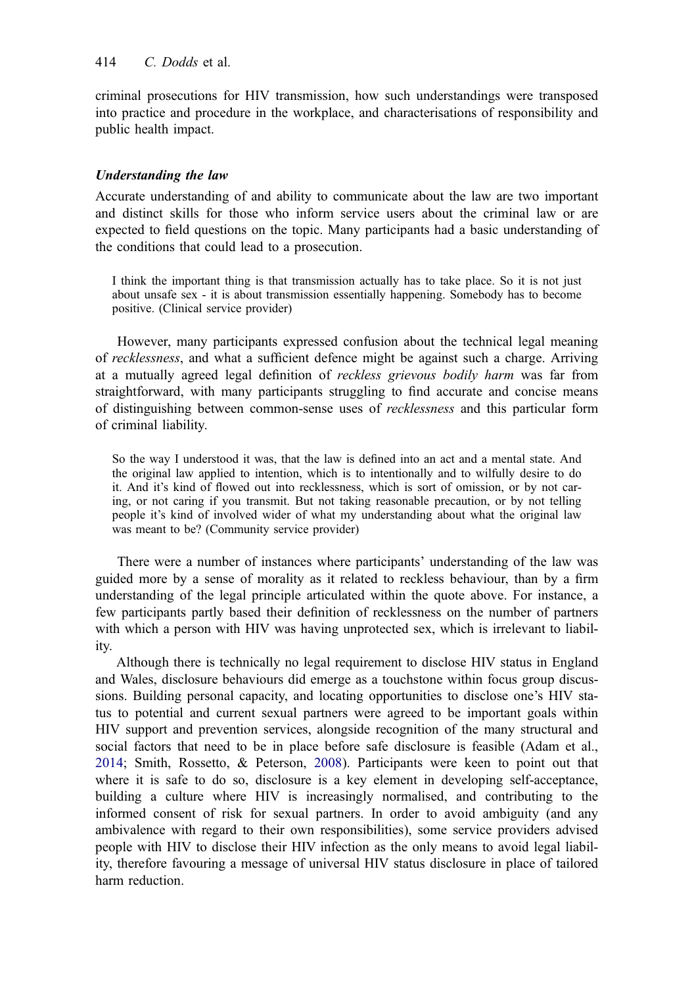criminal prosecutions for HIV transmission, how such understandings were transposed into practice and procedure in the workplace, and characterisations of responsibility and public health impact.

## Understanding the law

Accurate understanding of and ability to communicate about the law are two important and distinct skills for those who inform service users about the criminal law or are expected to field questions on the topic. Many participants had a basic understanding of the conditions that could lead to a prosecution.

I think the important thing is that transmission actually has to take place. So it is not just about unsafe sex - it is about transmission essentially happening. Somebody has to become positive. (Clinical service provider)

However, many participants expressed confusion about the technical legal meaning of recklessness, and what a sufficient defence might be against such a charge. Arriving at a mutually agreed legal definition of reckless grievous bodily harm was far from straightforward, with many participants struggling to find accurate and concise means of distinguishing between common-sense uses of recklessness and this particular form of criminal liability.

So the way I understood it was, that the law is defined into an act and a mental state. And the original law applied to intention, which is to intentionally and to wilfully desire to do it. And it's kind of flowed out into recklessness, which is sort of omission, or by not caring, or not caring if you transmit. But not taking reasonable precaution, or by not telling people it's kind of involved wider of what my understanding about what the original law was meant to be? (Community service provider)

There were a number of instances where participants' understanding of the law was guided more by a sense of morality as it related to reckless behaviour, than by a firm understanding of the legal principle articulated within the quote above. For instance, a few participants partly based their definition of recklessness on the number of partners with which a person with HIV was having unprotected sex, which is irrelevant to liability.

Although there is technically no legal requirement to disclose HIV status in England and Wales, disclosure behaviours did emerge as a touchstone within focus group discussions. Building personal capacity, and locating opportunities to disclose one's HIV status to potential and current sexual partners were agreed to be important goals within HIV support and prevention services, alongside recognition of the many structural and social factors that need to be in place before safe disclosure is feasible (Adam et al., [2014;](#page-13-0) Smith, Rossetto, & Peterson, [2008](#page-15-0)). Participants were keen to point out that where it is safe to do so, disclosure is a key element in developing self-acceptance, building a culture where HIV is increasingly normalised, and contributing to the informed consent of risk for sexual partners. In order to avoid ambiguity (and any ambivalence with regard to their own responsibilities), some service providers advised people with HIV to disclose their HIV infection as the only means to avoid legal liability, therefore favouring a message of universal HIV status disclosure in place of tailored harm reduction.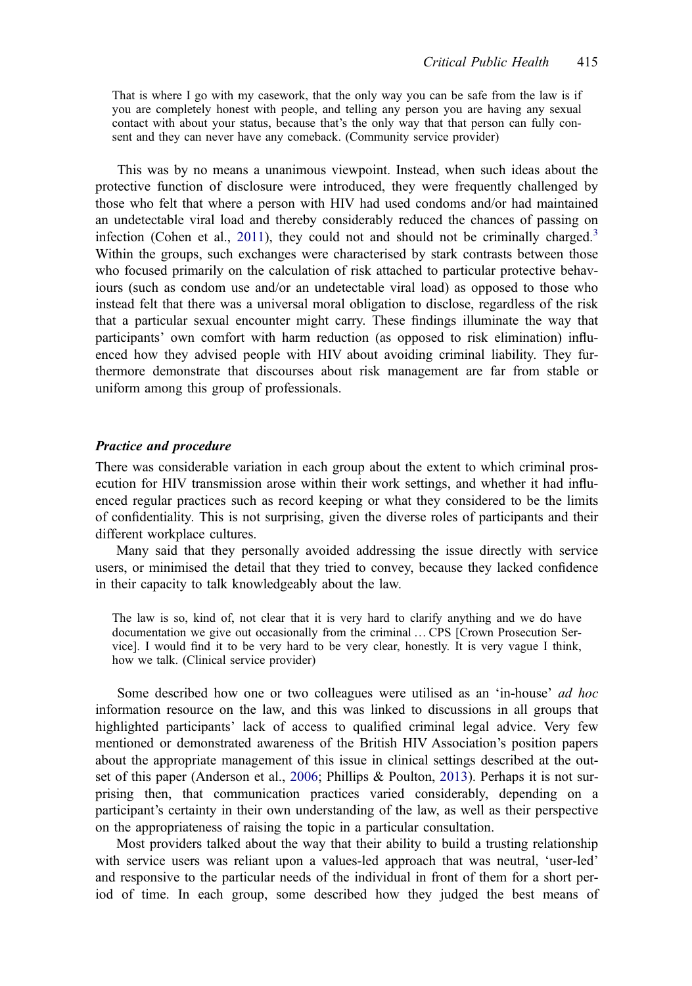That is where I go with my casework, that the only way you can be safe from the law is if you are completely honest with people, and telling any person you are having any sexual contact with about your status, because that's the only way that that person can fully consent and they can never have any comeback. (Community service provider)

This was by no means a unanimous viewpoint. Instead, when such ideas about the protective function of disclosure were introduced, they were frequently challenged by those who felt that where a person with HIV had used condoms and/or had maintained an undetectable viral load and thereby considerably reduced the chances of passing on infection (Cohen et al., [2011\)](#page-14-0), they could not and should not be criminally charged.<sup>[3](#page-13-0)</sup> Within the groups, such exchanges were characterised by stark contrasts between those who focused primarily on the calculation of risk attached to particular protective behaviours (such as condom use and/or an undetectable viral load) as opposed to those who instead felt that there was a universal moral obligation to disclose, regardless of the risk that a particular sexual encounter might carry. These findings illuminate the way that participants' own comfort with harm reduction (as opposed to risk elimination) influenced how they advised people with HIV about avoiding criminal liability. They furthermore demonstrate that discourses about risk management are far from stable or uniform among this group of professionals.

#### Practice and procedure

There was considerable variation in each group about the extent to which criminal prosecution for HIV transmission arose within their work settings, and whether it had influenced regular practices such as record keeping or what they considered to be the limits of confidentiality. This is not surprising, given the diverse roles of participants and their different workplace cultures.

Many said that they personally avoided addressing the issue directly with service users, or minimised the detail that they tried to convey, because they lacked confidence in their capacity to talk knowledgeably about the law.

The law is so, kind of, not clear that it is very hard to clarify anything and we do have documentation we give out occasionally from the criminal … CPS [Crown Prosecution Service]. I would find it to be very hard to be very clear, honestly. It is very vague I think, how we talk. (Clinical service provider)

Some described how one or two colleagues were utilised as an 'in-house' ad hoc information resource on the law, and this was linked to discussions in all groups that highlighted participants' lack of access to qualified criminal legal advice. Very few mentioned or demonstrated awareness of the British HIV Association's position papers about the appropriate management of this issue in clinical settings described at the outset of this paper (Anderson et al., [2006;](#page-14-0) Phillips & Poulton, [2013\)](#page-15-0). Perhaps it is not surprising then, that communication practices varied considerably, depending on a participant's certainty in their own understanding of the law, as well as their perspective on the appropriateness of raising the topic in a particular consultation.

Most providers talked about the way that their ability to build a trusting relationship with service users was reliant upon a values-led approach that was neutral, 'user-led' and responsive to the particular needs of the individual in front of them for a short period of time. In each group, some described how they judged the best means of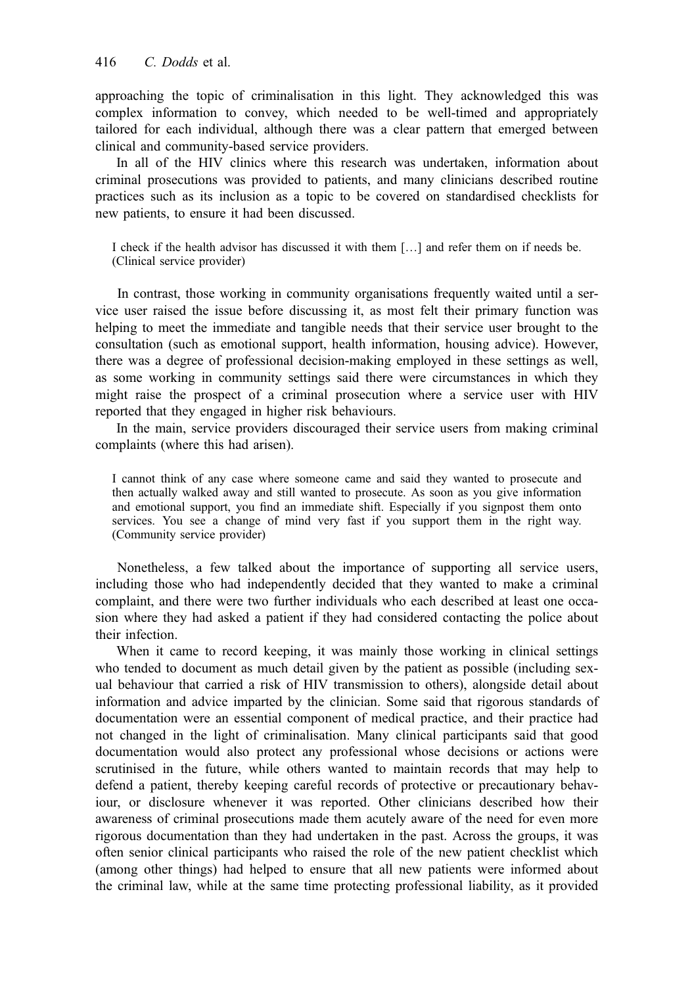approaching the topic of criminalisation in this light. They acknowledged this was complex information to convey, which needed to be well-timed and appropriately tailored for each individual, although there was a clear pattern that emerged between clinical and community-based service providers.

In all of the HIV clinics where this research was undertaken, information about criminal prosecutions was provided to patients, and many clinicians described routine practices such as its inclusion as a topic to be covered on standardised checklists for new patients, to ensure it had been discussed.

I check if the health advisor has discussed it with them […] and refer them on if needs be. (Clinical service provider)

In contrast, those working in community organisations frequently waited until a service user raised the issue before discussing it, as most felt their primary function was helping to meet the immediate and tangible needs that their service user brought to the consultation (such as emotional support, health information, housing advice). However, there was a degree of professional decision-making employed in these settings as well, as some working in community settings said there were circumstances in which they might raise the prospect of a criminal prosecution where a service user with HIV reported that they engaged in higher risk behaviours.

In the main, service providers discouraged their service users from making criminal complaints (where this had arisen).

I cannot think of any case where someone came and said they wanted to prosecute and then actually walked away and still wanted to prosecute. As soon as you give information and emotional support, you find an immediate shift. Especially if you signpost them onto services. You see a change of mind very fast if you support them in the right way. (Community service provider)

Nonetheless, a few talked about the importance of supporting all service users, including those who had independently decided that they wanted to make a criminal complaint, and there were two further individuals who each described at least one occasion where they had asked a patient if they had considered contacting the police about their infection.

When it came to record keeping, it was mainly those working in clinical settings who tended to document as much detail given by the patient as possible (including sexual behaviour that carried a risk of HIV transmission to others), alongside detail about information and advice imparted by the clinician. Some said that rigorous standards of documentation were an essential component of medical practice, and their practice had not changed in the light of criminalisation. Many clinical participants said that good documentation would also protect any professional whose decisions or actions were scrutinised in the future, while others wanted to maintain records that may help to defend a patient, thereby keeping careful records of protective or precautionary behaviour, or disclosure whenever it was reported. Other clinicians described how their awareness of criminal prosecutions made them acutely aware of the need for even more rigorous documentation than they had undertaken in the past. Across the groups, it was often senior clinical participants who raised the role of the new patient checklist which (among other things) had helped to ensure that all new patients were informed about the criminal law, while at the same time protecting professional liability, as it provided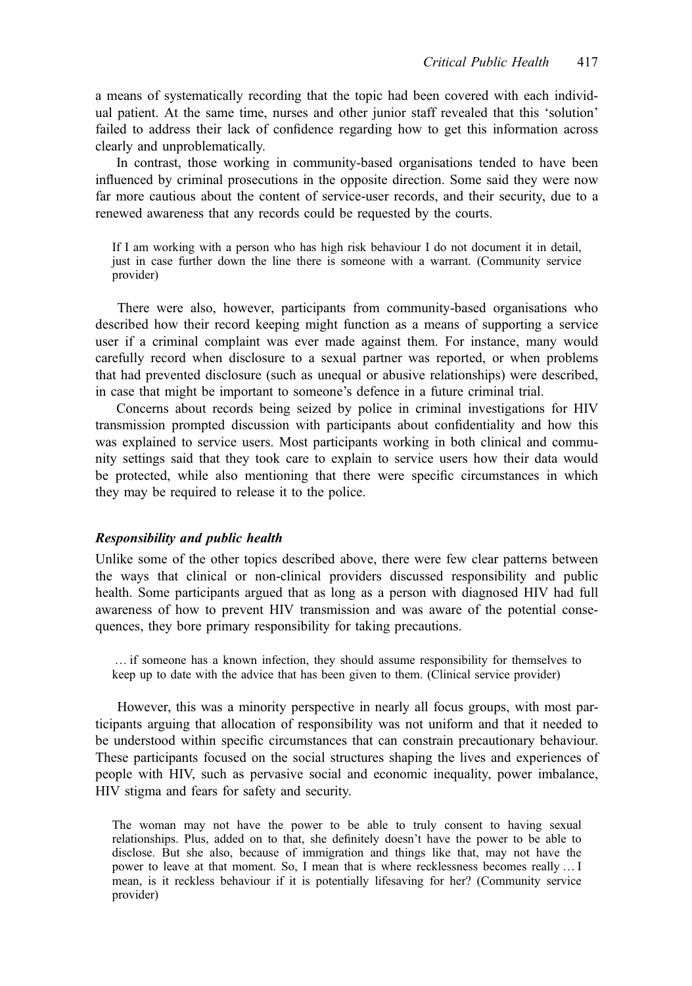a means of systematically recording that the topic had been covered with each individual patient. At the same time, nurses and other junior staff revealed that this 'solution' failed to address their lack of confidence regarding how to get this information across clearly and unproblematically.

In contrast, those working in community-based organisations tended to have been influenced by criminal prosecutions in the opposite direction. Some said they were now far more cautious about the content of service-user records, and their security, due to a renewed awareness that any records could be requested by the courts.

If I am working with a person who has high risk behaviour I do not document it in detail, just in case further down the line there is someone with a warrant. (Community service provider)

There were also, however, participants from community-based organisations who described how their record keeping might function as a means of supporting a service user if a criminal complaint was ever made against them. For instance, many would carefully record when disclosure to a sexual partner was reported, or when problems that had prevented disclosure (such as unequal or abusive relationships) were described, in case that might be important to someone's defence in a future criminal trial.

Concerns about records being seized by police in criminal investigations for HIV transmission prompted discussion with participants about confidentiality and how this was explained to service users. Most participants working in both clinical and community settings said that they took care to explain to service users how their data would be protected, while also mentioning that there were specific circumstances in which they may be required to release it to the police.

#### Responsibility and public health

Unlike some of the other topics described above, there were few clear patterns between the ways that clinical or non-clinical providers discussed responsibility and public health. Some participants argued that as long as a person with diagnosed HIV had full awareness of how to prevent HIV transmission and was aware of the potential consequences, they bore primary responsibility for taking precautions.

… if someone has a known infection, they should assume responsibility for themselves to keep up to date with the advice that has been given to them. (Clinical service provider)

However, this was a minority perspective in nearly all focus groups, with most participants arguing that allocation of responsibility was not uniform and that it needed to be understood within specific circumstances that can constrain precautionary behaviour. These participants focused on the social structures shaping the lives and experiences of people with HIV, such as pervasive social and economic inequality, power imbalance, HIV stigma and fears for safety and security.

The woman may not have the power to be able to truly consent to having sexual relationships. Plus, added on to that, she definitely doesn't have the power to be able to disclose. But she also, because of immigration and things like that, may not have the power to leave at that moment. So, I mean that is where recklessness becomes really … I mean, is it reckless behaviour if it is potentially lifesaving for her? (Community service provider)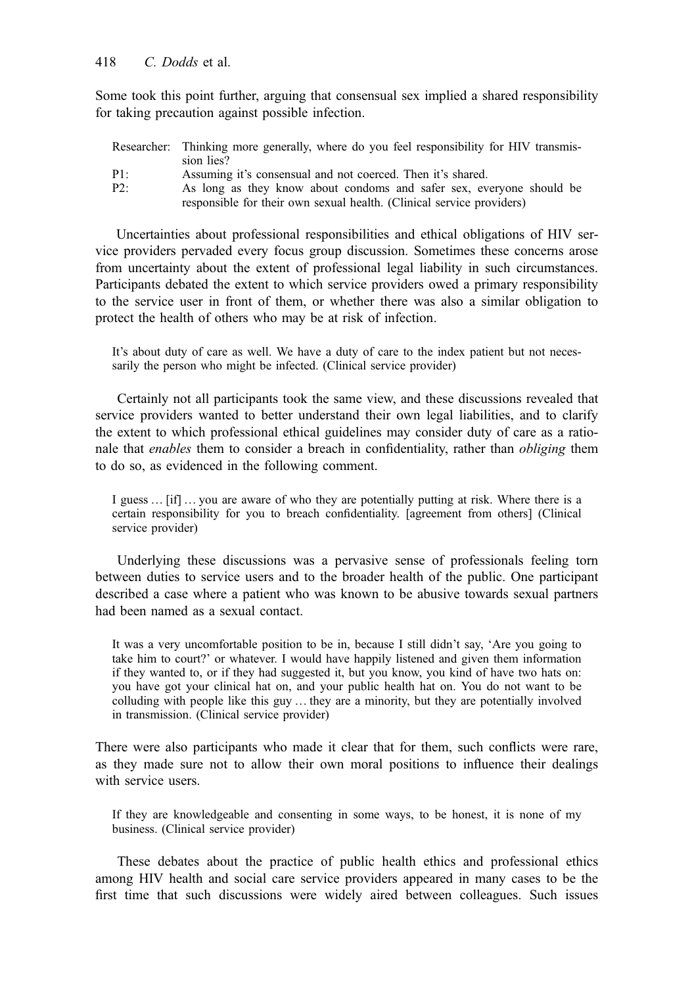Some took this point further, arguing that consensual sex implied a shared responsibility for taking precaution against possible infection.

|            | Researcher: Thinking more generally, where do you feel responsibility for HIV transmis-<br>sion lies?                                                                                                        |
|------------|--------------------------------------------------------------------------------------------------------------------------------------------------------------------------------------------------------------|
| P1:<br>P2: | Assuming it's consensual and not coerced. Then it's shared.<br>As long as they know about condoms and safer sex, everyone should be<br>responsible for their own sexual health. (Clinical service providers) |

Uncertainties about professional responsibilities and ethical obligations of HIV service providers pervaded every focus group discussion. Sometimes these concerns arose from uncertainty about the extent of professional legal liability in such circumstances. Participants debated the extent to which service providers owed a primary responsibility to the service user in front of them, or whether there was also a similar obligation to protect the health of others who may be at risk of infection.

It's about duty of care as well. We have a duty of care to the index patient but not necessarily the person who might be infected. (Clinical service provider)

Certainly not all participants took the same view, and these discussions revealed that service providers wanted to better understand their own legal liabilities, and to clarify the extent to which professional ethical guidelines may consider duty of care as a rationale that enables them to consider a breach in confidentiality, rather than obliging them to do so, as evidenced in the following comment.

I guess … [if] … you are aware of who they are potentially putting at risk. Where there is a certain responsibility for you to breach confidentiality. [agreement from others] (Clinical service provider)

Underlying these discussions was a pervasive sense of professionals feeling torn between duties to service users and to the broader health of the public. One participant described a case where a patient who was known to be abusive towards sexual partners had been named as a sexual contact.

It was a very uncomfortable position to be in, because I still didn't say, 'Are you going to take him to court?' or whatever. I would have happily listened and given them information if they wanted to, or if they had suggested it, but you know, you kind of have two hats on: you have got your clinical hat on, and your public health hat on. You do not want to be colluding with people like this guy … they are a minority, but they are potentially involved in transmission. (Clinical service provider)

There were also participants who made it clear that for them, such conflicts were rare, as they made sure not to allow their own moral positions to influence their dealings with service users.

If they are knowledgeable and consenting in some ways, to be honest, it is none of my business. (Clinical service provider)

These debates about the practice of public health ethics and professional ethics among HIV health and social care service providers appeared in many cases to be the first time that such discussions were widely aired between colleagues. Such issues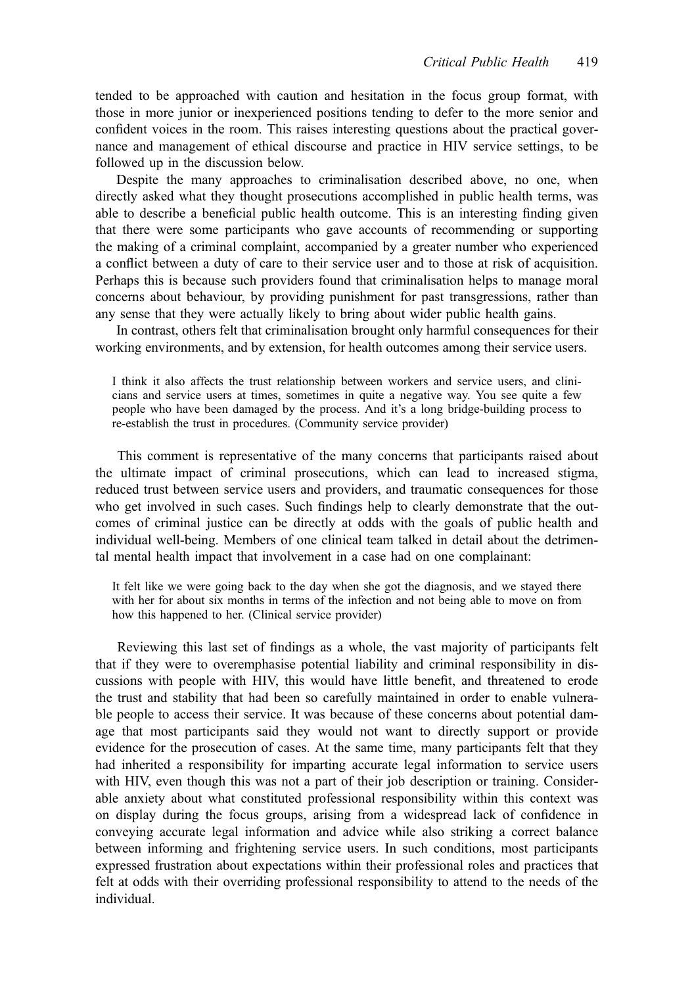tended to be approached with caution and hesitation in the focus group format, with those in more junior or inexperienced positions tending to defer to the more senior and confident voices in the room. This raises interesting questions about the practical governance and management of ethical discourse and practice in HIV service settings, to be followed up in the discussion below.

Despite the many approaches to criminalisation described above, no one, when directly asked what they thought prosecutions accomplished in public health terms, was able to describe a beneficial public health outcome. This is an interesting finding given that there were some participants who gave accounts of recommending or supporting the making of a criminal complaint, accompanied by a greater number who experienced a conflict between a duty of care to their service user and to those at risk of acquisition. Perhaps this is because such providers found that criminalisation helps to manage moral concerns about behaviour, by providing punishment for past transgressions, rather than any sense that they were actually likely to bring about wider public health gains.

In contrast, others felt that criminalisation brought only harmful consequences for their working environments, and by extension, for health outcomes among their service users.

I think it also affects the trust relationship between workers and service users, and clinicians and service users at times, sometimes in quite a negative way. You see quite a few people who have been damaged by the process. And it's a long bridge-building process to re-establish the trust in procedures. (Community service provider)

This comment is representative of the many concerns that participants raised about the ultimate impact of criminal prosecutions, which can lead to increased stigma, reduced trust between service users and providers, and traumatic consequences for those who get involved in such cases. Such findings help to clearly demonstrate that the outcomes of criminal justice can be directly at odds with the goals of public health and individual well-being. Members of one clinical team talked in detail about the detrimental mental health impact that involvement in a case had on one complainant:

It felt like we were going back to the day when she got the diagnosis, and we stayed there with her for about six months in terms of the infection and not being able to move on from how this happened to her. (Clinical service provider)

Reviewing this last set of findings as a whole, the vast majority of participants felt that if they were to overemphasise potential liability and criminal responsibility in discussions with people with HIV, this would have little benefit, and threatened to erode the trust and stability that had been so carefully maintained in order to enable vulnerable people to access their service. It was because of these concerns about potential damage that most participants said they would not want to directly support or provide evidence for the prosecution of cases. At the same time, many participants felt that they had inherited a responsibility for imparting accurate legal information to service users with HIV, even though this was not a part of their job description or training. Considerable anxiety about what constituted professional responsibility within this context was on display during the focus groups, arising from a widespread lack of confidence in conveying accurate legal information and advice while also striking a correct balance between informing and frightening service users. In such conditions, most participants expressed frustration about expectations within their professional roles and practices that felt at odds with their overriding professional responsibility to attend to the needs of the individual.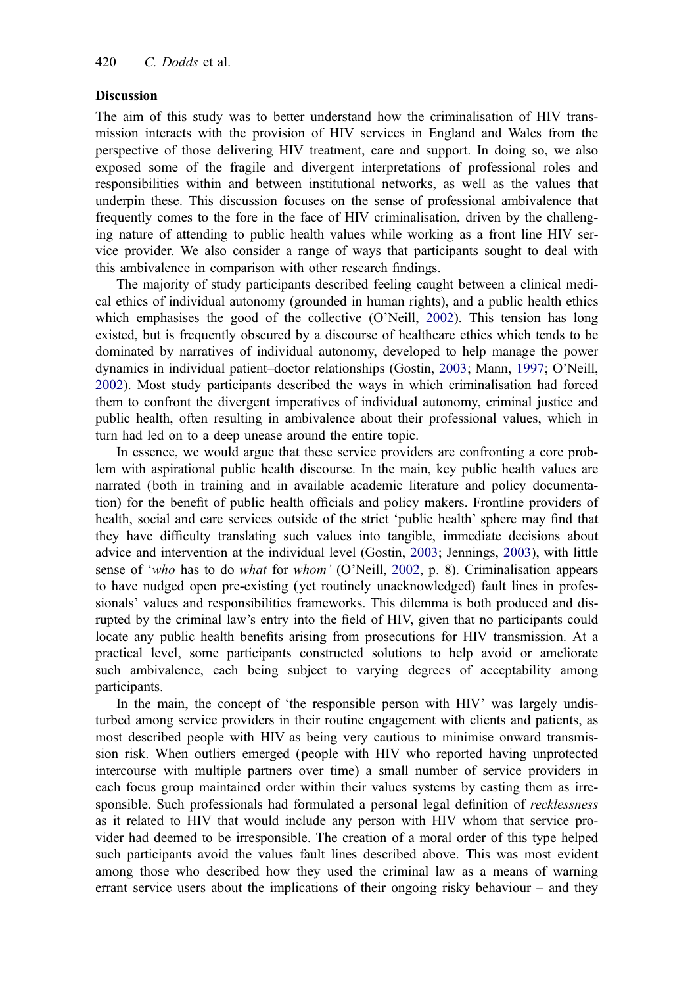## Discussion

The aim of this study was to better understand how the criminalisation of HIV transmission interacts with the provision of HIV services in England and Wales from the perspective of those delivering HIV treatment, care and support. In doing so, we also exposed some of the fragile and divergent interpretations of professional roles and responsibilities within and between institutional networks, as well as the values that underpin these. This discussion focuses on the sense of professional ambivalence that frequently comes to the fore in the face of HIV criminalisation, driven by the challenging nature of attending to public health values while working as a front line HIV service provider. We also consider a range of ways that participants sought to deal with this ambivalence in comparison with other research findings.

The majority of study participants described feeling caught between a clinical medical ethics of individual autonomy (grounded in human rights), and a public health ethics which emphasises the good of the collective (O'Neill, [2002\)](#page-15-0). This tension has long existed, but is frequently obscured by a discourse of healthcare ethics which tends to be dominated by narratives of individual autonomy, developed to help manage the power dynamics in individual patient–doctor relationships (Gostin, [2003](#page-15-0); Mann, [1997](#page-15-0); O'Neill, [2002\)](#page-15-0). Most study participants described the ways in which criminalisation had forced them to confront the divergent imperatives of individual autonomy, criminal justice and public health, often resulting in ambivalence about their professional values, which in turn had led on to a deep unease around the entire topic.

In essence, we would argue that these service providers are confronting a core problem with aspirational public health discourse. In the main, key public health values are narrated (both in training and in available academic literature and policy documentation) for the benefit of public health officials and policy makers. Frontline providers of health, social and care services outside of the strict 'public health' sphere may find that they have difficulty translating such values into tangible, immediate decisions about advice and intervention at the individual level (Gostin, [2003;](#page-15-0) Jennings, [2003\)](#page-15-0), with little sense of 'who has to do what for whom' (O'Neill, [2002](#page-15-0), p. 8). Criminalisation appears to have nudged open pre-existing (yet routinely unacknowledged) fault lines in professionals' values and responsibilities frameworks. This dilemma is both produced and disrupted by the criminal law's entry into the field of HIV, given that no participants could locate any public health benefits arising from prosecutions for HIV transmission. At a practical level, some participants constructed solutions to help avoid or ameliorate such ambivalence, each being subject to varying degrees of acceptability among participants.

In the main, the concept of 'the responsible person with HIV' was largely undisturbed among service providers in their routine engagement with clients and patients, as most described people with HIV as being very cautious to minimise onward transmission risk. When outliers emerged (people with HIV who reported having unprotected intercourse with multiple partners over time) a small number of service providers in each focus group maintained order within their values systems by casting them as irresponsible. Such professionals had formulated a personal legal definition of *recklessness* as it related to HIV that would include any person with HIV whom that service provider had deemed to be irresponsible. The creation of a moral order of this type helped such participants avoid the values fault lines described above. This was most evident among those who described how they used the criminal law as a means of warning errant service users about the implications of their ongoing risky behaviour – and they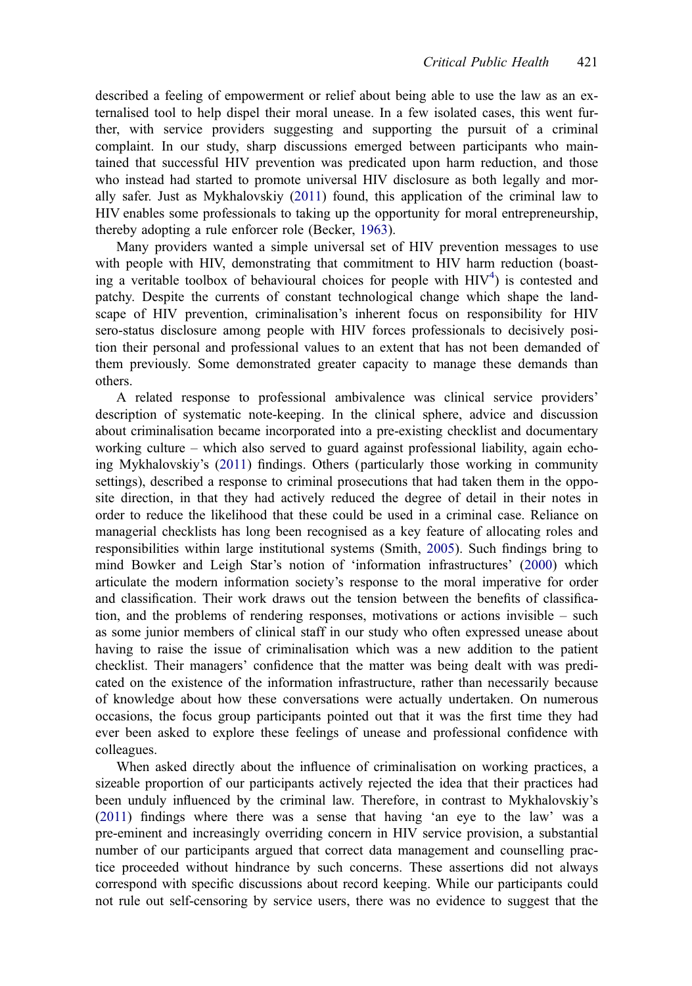described a feeling of empowerment or relief about being able to use the law as an externalised tool to help dispel their moral unease. In a few isolated cases, this went further, with service providers suggesting and supporting the pursuit of a criminal complaint. In our study, sharp discussions emerged between participants who maintained that successful HIV prevention was predicated upon harm reduction, and those who instead had started to promote universal HIV disclosure as both legally and morally safer. Just as Mykhalovskiy ([2011\)](#page-15-0) found, this application of the criminal law to HIV enables some professionals to taking up the opportunity for moral entrepreneurship, thereby adopting a rule enforcer role (Becker, [1963\)](#page-14-0).

Many providers wanted a simple universal set of HIV prevention messages to use with people with HIV, demonstrating that commitment to HIV harm reduction (boasting a veritable toolbox of behavioural choices for people with  $HIV<sup>4</sup>$  $HIV<sup>4</sup>$  $HIV<sup>4</sup>$ ) is contested and patchy. Despite the currents of constant technological change which shape the landscape of HIV prevention, criminalisation's inherent focus on responsibility for HIV sero-status disclosure among people with HIV forces professionals to decisively position their personal and professional values to an extent that has not been demanded of them previously. Some demonstrated greater capacity to manage these demands than others.

A related response to professional ambivalence was clinical service providers' description of systematic note-keeping. In the clinical sphere, advice and discussion about criminalisation became incorporated into a pre-existing checklist and documentary working culture – which also served to guard against professional liability, again echoing Mykhalovskiy's ([2011](#page-15-0)) findings. Others (particularly those working in community settings), described a response to criminal prosecutions that had taken them in the opposite direction, in that they had actively reduced the degree of detail in their notes in order to reduce the likelihood that these could be used in a criminal case. Reliance on managerial checklists has long been recognised as a key feature of allocating roles and responsibilities within large institutional systems (Smith, [2005](#page-15-0)). Such findings bring to mind Bowker and Leigh Star's notion of 'information infrastructures' ([2000\)](#page-14-0) which articulate the modern information society's response to the moral imperative for order and classification. Their work draws out the tension between the benefits of classification, and the problems of rendering responses, motivations or actions invisible – such as some junior members of clinical staff in our study who often expressed unease about having to raise the issue of criminalisation which was a new addition to the patient checklist. Their managers' confidence that the matter was being dealt with was predicated on the existence of the information infrastructure, rather than necessarily because of knowledge about how these conversations were actually undertaken. On numerous occasions, the focus group participants pointed out that it was the first time they had ever been asked to explore these feelings of unease and professional confidence with colleagues.

When asked directly about the influence of criminalisation on working practices, a sizeable proportion of our participants actively rejected the idea that their practices had been unduly influenced by the criminal law. Therefore, in contrast to Mykhalovskiy's [\(2011\)](#page-15-0) findings where there was a sense that having 'an eye to the law' was a pre-eminent and increasingly overriding concern in HIV service provision, a substantial number of our participants argued that correct data management and counselling practice proceeded without hindrance by such concerns. These assertions did not always correspond with specific discussions about record keeping. While our participants could not rule out self-censoring by service users, there was no evidence to suggest that the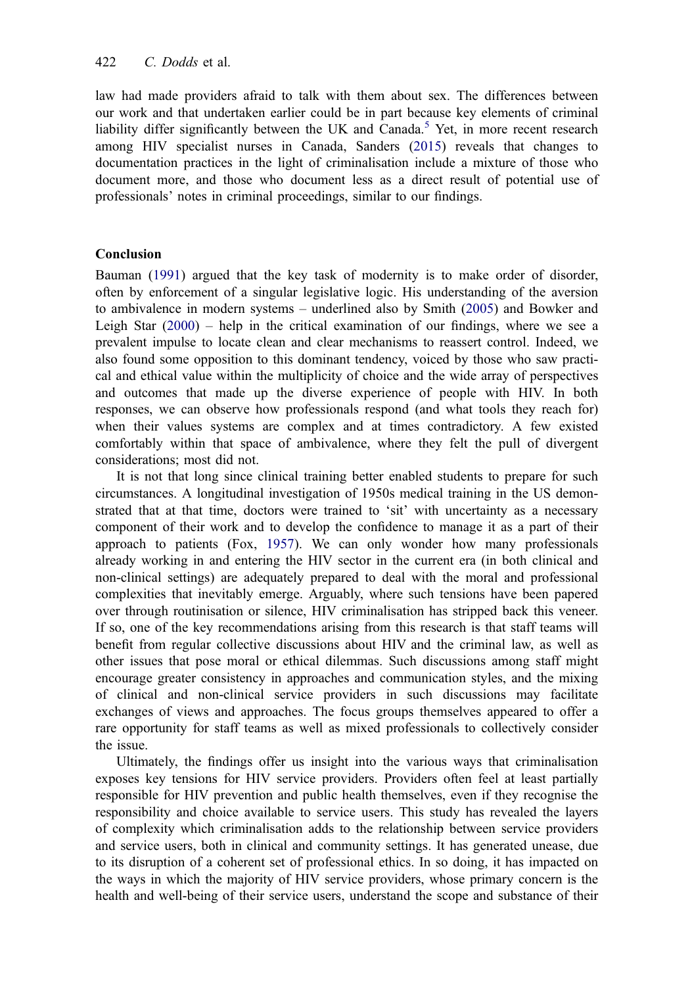law had made providers afraid to talk with them about sex. The differences between our work and that undertaken earlier could be in part because key elements of criminal liability differ significantly between the UK and Canada.<sup>[5](#page-13-0)</sup> Yet, in more recent research among HIV specialist nurses in Canada, Sanders ([2015\)](#page-15-0) reveals that changes to documentation practices in the light of criminalisation include a mixture of those who document more, and those who document less as a direct result of potential use of professionals' notes in criminal proceedings, similar to our findings.

## Conclusion

Bauman [\(1991](#page-14-0)) argued that the key task of modernity is to make order of disorder, often by enforcement of a singular legislative logic. His understanding of the aversion to ambivalence in modern systems – underlined also by Smith [\(2005](#page-15-0)) and Bowker and Leigh Star [\(2000](#page-14-0)) – help in the critical examination of our findings, where we see a prevalent impulse to locate clean and clear mechanisms to reassert control. Indeed, we also found some opposition to this dominant tendency, voiced by those who saw practical and ethical value within the multiplicity of choice and the wide array of perspectives and outcomes that made up the diverse experience of people with HIV. In both responses, we can observe how professionals respond (and what tools they reach for) when their values systems are complex and at times contradictory. A few existed comfortably within that space of ambivalence, where they felt the pull of divergent considerations; most did not.

It is not that long since clinical training better enabled students to prepare for such circumstances. A longitudinal investigation of 1950s medical training in the US demonstrated that at that time, doctors were trained to 'sit' with uncertainty as a necessary component of their work and to develop the confidence to manage it as a part of their approach to patients (Fox, [1957\)](#page-14-0). We can only wonder how many professionals already working in and entering the HIV sector in the current era (in both clinical and non-clinical settings) are adequately prepared to deal with the moral and professional complexities that inevitably emerge. Arguably, where such tensions have been papered over through routinisation or silence, HIV criminalisation has stripped back this veneer. If so, one of the key recommendations arising from this research is that staff teams will benefit from regular collective discussions about HIV and the criminal law, as well as other issues that pose moral or ethical dilemmas. Such discussions among staff might encourage greater consistency in approaches and communication styles, and the mixing of clinical and non-clinical service providers in such discussions may facilitate exchanges of views and approaches. The focus groups themselves appeared to offer a rare opportunity for staff teams as well as mixed professionals to collectively consider the issue.

Ultimately, the findings offer us insight into the various ways that criminalisation exposes key tensions for HIV service providers. Providers often feel at least partially responsible for HIV prevention and public health themselves, even if they recognise the responsibility and choice available to service users. This study has revealed the layers of complexity which criminalisation adds to the relationship between service providers and service users, both in clinical and community settings. It has generated unease, due to its disruption of a coherent set of professional ethics. In so doing, it has impacted on the ways in which the majority of HIV service providers, whose primary concern is the health and well-being of their service users, understand the scope and substance of their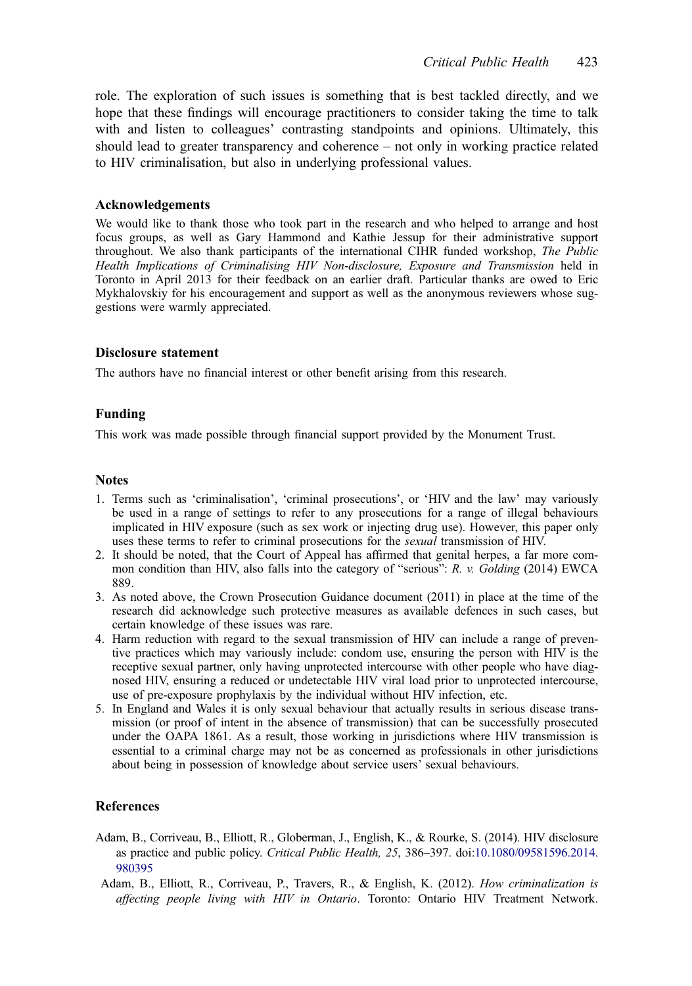<span id="page-13-0"></span>role. The exploration of such issues is something that is best tackled directly, and we hope that these findings will encourage practitioners to consider taking the time to talk with and listen to colleagues' contrasting standpoints and opinions. Ultimately, this should lead to greater transparency and coherence – not only in working practice related to HIV criminalisation, but also in underlying professional values.

#### Acknowledgements

We would like to thank those who took part in the research and who helped to arrange and host focus groups, as well as Gary Hammond and Kathie Jessup for their administrative support throughout. We also thank participants of the international CIHR funded workshop, The Public Health Implications of Criminalising HIV Non-disclosure, Exposure and Transmission held in Toronto in April 2013 for their feedback on an earlier draft. Particular thanks are owed to Eric Mykhalovskiy for his encouragement and support as well as the anonymous reviewers whose suggestions were warmly appreciated.

### Disclosure statement

The authors have no financial interest or other benefit arising from this research.

### Funding

This work was made possible through financial support provided by the Monument Trust.

#### **Notes**

- 1. Terms such as 'criminalisation', 'criminal prosecutions', or 'HIV and the law' may variously be used in a range of settings to refer to any prosecutions for a range of illegal behaviours implicated in HIV exposure (such as sex work or injecting drug use). However, this paper only uses these terms to refer to criminal prosecutions for the *sexual* transmission of HIV.
- 2. It should be noted, that the Court of Appeal has affirmed that genital herpes, a far more common condition than HIV, also falls into the category of "serious": R. v. Golding (2014) EWCA 889.
- 3. As noted above, the Crown Prosecution Guidance document (2011) in place at the time of the research did acknowledge such protective measures as available defences in such cases, but certain knowledge of these issues was rare.
- 4. Harm reduction with regard to the sexual transmission of HIV can include a range of preventive practices which may variously include: condom use, ensuring the person with HIV is the receptive sexual partner, only having unprotected intercourse with other people who have diagnosed HIV, ensuring a reduced or undetectable HIV viral load prior to unprotected intercourse, use of pre-exposure prophylaxis by the individual without HIV infection, etc.
- 5. In England and Wales it is only sexual behaviour that actually results in serious disease transmission (or proof of intent in the absence of transmission) that can be successfully prosecuted under the OAPA 1861. As a result, those working in jurisdictions where HIV transmission is essential to a criminal charge may not be as concerned as professionals in other jurisdictions about being in possession of knowledge about service users' sexual behaviours.

## References

- Adam, B., Corriveau, B., Elliott, R., Globerman, J., English, K., & Rourke, S. (2014). HIV disclosure as practice and public policy. Critical Public Health, 25, 386–397. doi:[10.1080/09581596.2014.](http://dx.doi.org/10.1080/09581596.2014.980395) [980395](http://dx.doi.org/10.1080/09581596.2014.980395)
- Adam, B., Elliott, R., Corriveau, P., Travers, R., & English, K. (2012). How criminalization is affecting people living with HIV in Ontario. Toronto: Ontario HIV Treatment Network.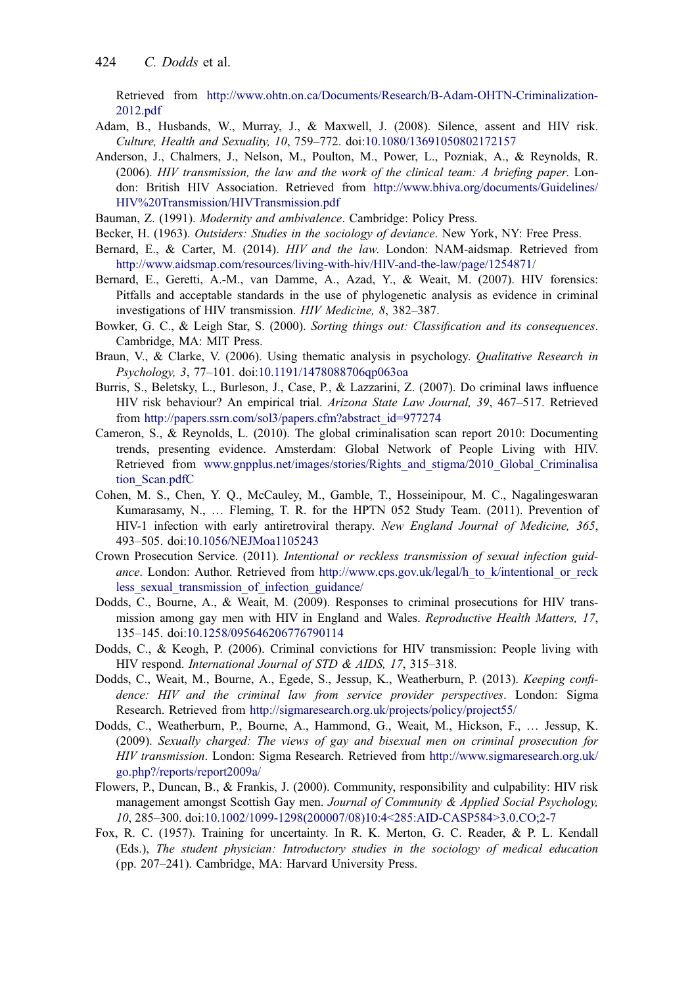<span id="page-14-0"></span>Retrieved from [http://www.ohtn.on.ca/Documents/Research/B-Adam-OHTN-Criminalization-](http://www.ohtn.on.ca/Documents/Research/B-Adam-OHTN-Criminalization-2012.pdf)[2012.pdf](http://www.ohtn.on.ca/Documents/Research/B-Adam-OHTN-Criminalization-2012.pdf)

- Adam, B., Husbands, W., Murray, J., & Maxwell, J. (2008). Silence, assent and HIV risk. Culture, Health and Sexuality, 10, 759–772. doi[:10.1080/13691050802172157](http://dx.doi.org/10.1080/13691050802172157)
- Anderson, J., Chalmers, J., Nelson, M., Poulton, M., Power, L., Pozniak, A., & Reynolds, R. (2006). HIV transmission, the law and the work of the clinical team: A briefing paper. London: British HIV Association. Retrieved from [http://www.bhiva.org/documents/Guidelines/](http://www.bhiva.org/documents/Guidelines/HIV%20Transmission/HIVTransmission.pdf) [HIV%20Transmission/HIVTransmission.pdf](http://www.bhiva.org/documents/Guidelines/HIV%20Transmission/HIVTransmission.pdf)
- Bauman, Z. (1991). Modernity and ambivalence. Cambridge: Policy Press.
- Becker, H. (1963). Outsiders: Studies in the sociology of deviance. New York, NY: Free Press.
- Bernard, E., & Carter, M. (2014). *HIV and the law*. London: NAM-aidsmap. Retrieved from <http://www.aidsmap.com/resources/living-with-hiv/HIV-and-the-law/page/1254871/>
- Bernard, E., Geretti, A.-M., van Damme, A., Azad, Y., & Weait, M. (2007). HIV forensics: Pitfalls and acceptable standards in the use of phylogenetic analysis as evidence in criminal investigations of HIV transmission. HIV Medicine, 8, 382–387.
- Bowker, G. C., & Leigh Star, S. (2000). Sorting things out: Classification and its consequences. Cambridge, MA: MIT Press.
- Braun, V., & Clarke, V. (2006). Using thematic analysis in psychology. *Qualitative Research in* Psychology, 3, 77–101. doi[:10.1191/1478088706qp063oa](http://dx.doi.org/10.1191/1478088706qp063oa)
- Burris, S., Beletsky, L., Burleson, J., Case, P., & Lazzarini, Z. (2007). Do criminal laws influence HIV risk behaviour? An empirical trial. Arizona State Law Journal, 39, 467–517. Retrieved from [http://papers.ssrn.com/sol3/papers.cfm?abstract\\_id=977274](http://papers.ssrn.com/sol3/papers.cfm?abstract_id=977274)
- Cameron, S., & Reynolds, L. (2010). The global criminalisation scan report 2010: Documenting trends, presenting evidence. Amsterdam: Global Network of People Living with HIV. Retrieved from www.gnpplus.net/images/stories/Rights and stigma/2010 Global Criminalisa [tion\\_Scan.pdfC](http://www.gnpplus.net/images/stories/Rights_and_stigma/2010_Global_Criminalisation_Scan.pdfC)
- Cohen, M. S., Chen, Y. Q., McCauley, M., Gamble, T., Hosseinipour, M. C., Nagalingeswaran Kumarasamy, N., … Fleming, T. R. for the HPTN 052 Study Team. (2011). Prevention of HIV-1 infection with early antiretroviral therapy. New England Journal of Medicine, 365, 493–505. doi[:10.1056/NEJMoa1105243](http://dx.doi.org/10.1056/NEJMoa1105243)
- Crown Prosecution Service. (2011). Intentional or reckless transmission of sexual infection guidance. London: Author. Retrieved from [http://www.cps.gov.uk/legal/h\\_to\\_k/intentional\\_or\\_reck](http://www.cps.gov.uk/legal/h_to_k/intentional_or_reckless_sexual_transmission_of_infection_guidance/) less sexual transmission of infection guidance/
- Dodds, C., Bourne, A., & Weait, M. (2009). Responses to criminal prosecutions for HIV transmission among gay men with HIV in England and Wales. Reproductive Health Matters, 17, 135–145. doi[:10.1258/095646206776790114](http://dx.doi.org/10.1258/095646206776790114)
- Dodds, C., & Keogh, P. (2006). Criminal convictions for HIV transmission: People living with HIV respond. International Journal of STD & AIDS, 17, 315–318.
- Dodds, C., Weait, M., Bourne, A., Egede, S., Jessup, K., Weatherburn, P. (2013). Keeping confidence: HIV and the criminal law from service provider perspectives. London: Sigma Research. Retrieved from <http://sigmaresearch.org.uk/projects/policy/project55/>
- Dodds, C., Weatherburn, P., Bourne, A., Hammond, G., Weait, M., Hickson, F., … Jessup, K. (2009). Sexually charged: The views of gay and bisexual men on criminal prosecution for HIV transmission. London: Sigma Research. Retrieved from [http://www.sigmaresearch.org.uk/](http://www.sigmaresearch.org.uk/go.php?/reports/report2009a/) [go.php?/reports/report2009a/](http://www.sigmaresearch.org.uk/go.php?/reports/report2009a/)
- Flowers, P., Duncan, B., & Frankis, J. (2000). Community, responsibility and culpability: HIV risk management amongst Scottish Gay men. Journal of Community & Applied Social Psychology, 10, 285–300. doi:[10.1002/1099-1298\(200007/08\)10:4<285:AID-CASP584>3.0.CO;2-7](http://dx.doi.org/10.1002/1099-1298(200007/08)10:4<285:AID-CASP584>3.0.CO;2-7)
- Fox, R. C. (1957). Training for uncertainty. In R. K. Merton, G. C. Reader, & P. L. Kendall (Eds.), The student physician: Introductory studies in the sociology of medical education (pp. 207–241). Cambridge, MA: Harvard University Press.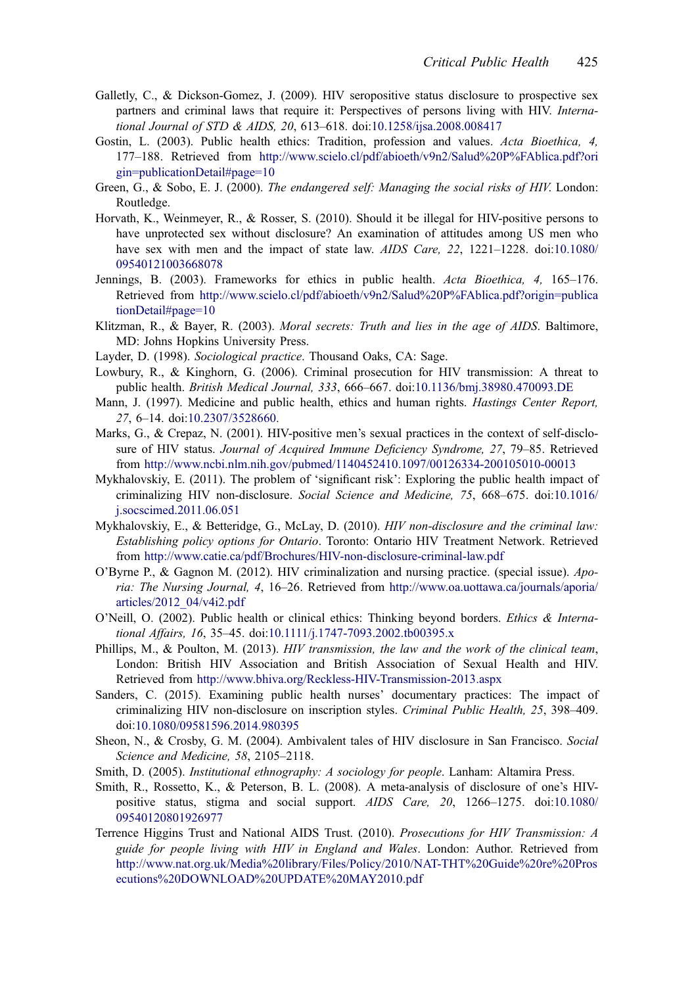- <span id="page-15-0"></span>Galletly, C., & Dickson-Gomez, J. (2009). HIV seropositive status disclosure to prospective sex partners and criminal laws that require it: Perspectives of persons living with HIV. International Journal of STD & AIDS, 20, 613–618. doi:[10.1258/ijsa.2008.008417](http://dx.doi.org/10.1258/ijsa.2008.008417)
- Gostin, L. (2003). Public health ethics: Tradition, profession and values. Acta Bioethica, 4, 177–188. Retrieved from [http://www.scielo.cl/pdf/abioeth/v9n2/Salud%20P%FAblica.pdf?ori](http://www.scielo.cl/pdf/abioeth/v9n2/Salud%20P%FAblica.pdf?origin=publicationDetail#page=10) [gin=publicationDetail#page=10](http://www.scielo.cl/pdf/abioeth/v9n2/Salud%20P%FAblica.pdf?origin=publicationDetail#page=10)
- Green, G., & Sobo, E. J. (2000). The endangered self: Managing the social risks of HIV. London: Routledge.
- Horvath, K., Weinmeyer, R., & Rosser, S. (2010). Should it be illegal for HIV-positive persons to have unprotected sex without disclosure? An examination of attitudes among US men who have sex with men and the impact of state law. AIDS Care, 22, 1221–1228. doi[:10.1080/](http://dx.doi.org/10.1080/09540121003668078) [09540121003668078](http://dx.doi.org/10.1080/09540121003668078)
- Jennings, B. (2003). Frameworks for ethics in public health. Acta Bioethica, 4, 165–176. Retrieved from [http://www.scielo.cl/pdf/abioeth/v9n2/Salud%20P%FAblica.pdf?origin=publica](http://www.scielo.cl/pdf/abioeth/v9n2/Salud%20P%FAblica.pdf?origin=publicationDetail#page=10) [tionDetail#page=10](http://www.scielo.cl/pdf/abioeth/v9n2/Salud%20P%FAblica.pdf?origin=publicationDetail#page=10)
- Klitzman, R., & Bayer, R. (2003). Moral secrets: Truth and lies in the age of AIDS. Baltimore, MD: Johns Hopkins University Press.
- Layder, D. (1998). Sociological practice. Thousand Oaks, CA: Sage.
- Lowbury, R., & Kinghorn, G. (2006). Criminal prosecution for HIV transmission: A threat to public health. British Medical Journal, 333, 666–667. doi[:10.1136/bmj.38980.470093.DE](http://dx.doi.org/10.1136/bmj.38980.470093.DE)
- Mann, J. (1997). Medicine and public health, ethics and human rights. Hastings Center Report, 27, 6–14. doi:[10.2307/3528660.](http://dx.doi.org/10.2307/3528660)
- Marks, G., & Crepaz, N. (2001). HIV-positive men's sexual practices in the context of self-disclosure of HIV status. Journal of Acquired Immune Deficiency Syndrome, 27, 79–85. Retrieved from <http://www.ncbi.nlm.nih.gov/pubmed/1140452410.1097/00126334-200105010-00013>
- Mykhalovskiy, E. (2011). The problem of 'significant risk': Exploring the public health impact of criminalizing HIV non-disclosure. Social Science and Medicine, 75, 668–675. doi[:10.1016/](http://dx.doi.org/10.1016/j.socscimed.2011.06.051) [j.socscimed.2011.06.051](http://dx.doi.org/10.1016/j.socscimed.2011.06.051)
- Mykhalovskiy, E., & Betteridge, G., McLay, D. (2010). HIV non-disclosure and the criminal law: Establishing policy options for Ontario. Toronto: Ontario HIV Treatment Network. Retrieved from <http://www.catie.ca/pdf/Brochures/HIV-non-disclosure-criminal-law.pdf>
- O'Byrne P., & Gagnon M. (2012). HIV criminalization and nursing practice. (special issue). Aporia: The Nursing Journal, 4, 16–26. Retrieved from [http://www.oa.uottawa.ca/journals/aporia/](http://www.oa.uottawa.ca/journals/aporia/articles/2012_04/v4i2.pdf) [articles/2012\\_04/v4i2.pdf](http://www.oa.uottawa.ca/journals/aporia/articles/2012_04/v4i2.pdf)
- O'Neill, O. (2002). Public health or clinical ethics: Thinking beyond borders. Ethics & International Affairs, 16, 35–45. doi[:10.1111/j.1747-7093.2002.tb00395.x](http://dx.doi.org/10.1111/j.1747-7093.2002.tb00395.x)
- Phillips, M., & Poulton, M. (2013). HIV transmission, the law and the work of the clinical team, London: British HIV Association and British Association of Sexual Health and HIV. Retrieved from <http://www.bhiva.org/Reckless-HIV-Transmission-2013.aspx>
- Sanders, C. (2015). Examining public health nurses' documentary practices: The impact of criminalizing HIV non-disclosure on inscription styles. Criminal Public Health, 25, 398–409. doi:[10.1080/09581596.2014.980395](http://dx.doi.org/10.1080/09581596.2014.980395)
- Sheon, N., & Crosby, G. M. (2004). Ambivalent tales of HIV disclosure in San Francisco. Social Science and Medicine, 58, 2105–2118.
- Smith, D. (2005). *Institutional ethnography: A sociology for people*. Lanham: Altamira Press.
- Smith, R., Rossetto, K., & Peterson, B. L. (2008). A meta-analysis of disclosure of one's HIVpositive status, stigma and social support. AIDS Care, 20, 1266–1275. doi[:10.1080/](http://dx.doi.org/10.1080/09540120801926977) [09540120801926977](http://dx.doi.org/10.1080/09540120801926977)
- Terrence Higgins Trust and National AIDS Trust. (2010). Prosecutions for HIV Transmission: A guide for people living with HIV in England and Wales. London: Author. Retrieved from [http://www.nat.org.uk/Media%20library/Files/Policy/2010/NAT-THT%20Guide%20re%20Pros](http://www.nat.org.uk/Media%20library/Files/Policy/2010/NAT-THT%20Guide%20re%20Prosecutions%20DOWNLOAD%20UPDATE%20MAY2010.pdf) [ecutions%20DOWNLOAD%20UPDATE%20MAY2010.pdf](http://www.nat.org.uk/Media%20library/Files/Policy/2010/NAT-THT%20Guide%20re%20Prosecutions%20DOWNLOAD%20UPDATE%20MAY2010.pdf)